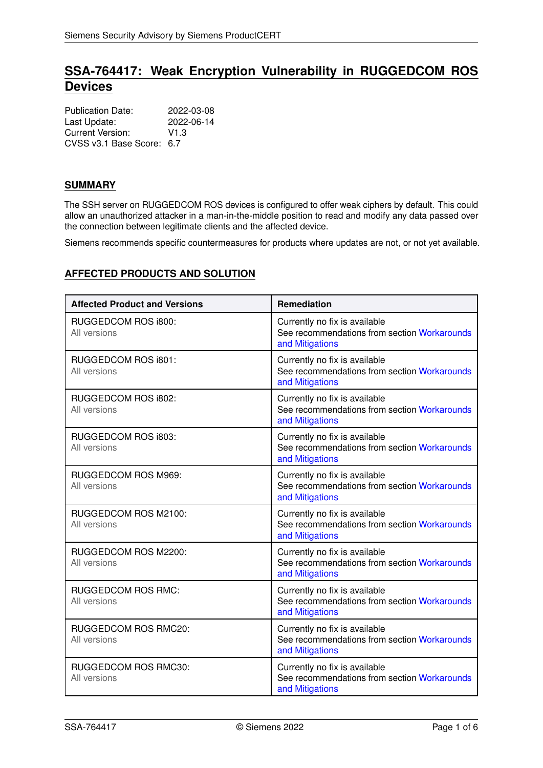# **SSA-764417: Weak Encryption Vulnerability in RUGGEDCOM ROS Devices**

| <b>Publication Date:</b>  | 2022-03-08 |
|---------------------------|------------|
| Last Update:              | 2022-06-14 |
| Current Version:          | V1.3       |
| CVSS v3.1 Base Score: 6.7 |            |

# **SUMMARY**

The SSH server on RUGGEDCOM ROS devices is configured to offer weak ciphers by default. This could allow an unauthorized attacker in a man-in-the-middle position to read and modify any data passed over the connection between legitimate clients and the affected device.

Siemens recommends specific countermeasures for products where updates are not, or not yet available.

# **AFFECTED PRODUCTS AND SOLUTION**

| <b>Affected Product and Versions</b>      | Remediation                                                                                      |
|-------------------------------------------|--------------------------------------------------------------------------------------------------|
| RUGGEDCOM ROS i800:<br>All versions       | Currently no fix is available<br>See recommendations from section Workarounds<br>and Mitigations |
| RUGGEDCOM ROS i801:<br>All versions       | Currently no fix is available<br>See recommendations from section Workarounds<br>and Mitigations |
| RUGGEDCOM ROS i802:<br>All versions       | Currently no fix is available<br>See recommendations from section Workarounds<br>and Mitigations |
| RUGGEDCOM ROS i803:<br>All versions       | Currently no fix is available<br>See recommendations from section Workarounds<br>and Mitigations |
| RUGGEDCOM ROS M969:<br>All versions       | Currently no fix is available<br>See recommendations from section Workarounds<br>and Mitigations |
| RUGGEDCOM ROS M2100:<br>All versions      | Currently no fix is available<br>See recommendations from section Workarounds<br>and Mitigations |
| RUGGEDCOM ROS M2200:<br>All versions      | Currently no fix is available<br>See recommendations from section Workarounds<br>and Mitigations |
| <b>RUGGEDCOM ROS RMC:</b><br>All versions | Currently no fix is available<br>See recommendations from section Workarounds<br>and Mitigations |
| RUGGEDCOM ROS RMC20:<br>All versions      | Currently no fix is available<br>See recommendations from section Workarounds<br>and Mitigations |
| RUGGEDCOM ROS RMC30:<br>All versions      | Currently no fix is available<br>See recommendations from section Workarounds<br>and Mitigations |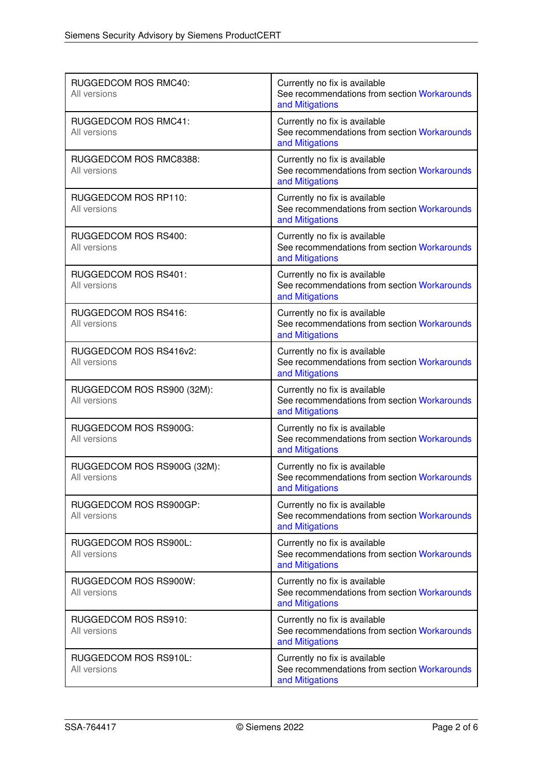| RUGGEDCOM ROS RMC40:<br>All versions        | Currently no fix is available<br>See recommendations from section Workarounds<br>and Mitigations |
|---------------------------------------------|--------------------------------------------------------------------------------------------------|
| <b>RUGGEDCOM ROS RMC41:</b><br>All versions | Currently no fix is available<br>See recommendations from section Workarounds<br>and Mitigations |
| RUGGEDCOM ROS RMC8388:<br>All versions      | Currently no fix is available<br>See recommendations from section Workarounds<br>and Mitigations |
| RUGGEDCOM ROS RP110:<br>All versions        | Currently no fix is available<br>See recommendations from section Workarounds<br>and Mitigations |
| RUGGEDCOM ROS RS400:<br>All versions        | Currently no fix is available<br>See recommendations from section Workarounds<br>and Mitigations |
| RUGGEDCOM ROS RS401:<br>All versions        | Currently no fix is available<br>See recommendations from section Workarounds<br>and Mitigations |
| RUGGEDCOM ROS RS416:<br>All versions        | Currently no fix is available<br>See recommendations from section Workarounds<br>and Mitigations |
| RUGGEDCOM ROS RS416v2:<br>All versions      | Currently no fix is available<br>See recommendations from section Workarounds<br>and Mitigations |
| RUGGEDCOM ROS RS900 (32M):<br>All versions  | Currently no fix is available<br>See recommendations from section Workarounds<br>and Mitigations |
| RUGGEDCOM ROS RS900G:<br>All versions       | Currently no fix is available<br>See recommendations from section Workarounds<br>and Mitigations |
| RUGGEDCOM ROS RS900G (32M):<br>All versions | Currently no fix is available<br>See recommendations from section Workarounds<br>and Mitigations |
| RUGGEDCOM ROS RS900GP:<br>All versions      | Currently no fix is available<br>See recommendations from section Workarounds<br>and Mitigations |
| RUGGEDCOM ROS RS900L:<br>All versions       | Currently no fix is available<br>See recommendations from section Workarounds<br>and Mitigations |
| RUGGEDCOM ROS RS900W:<br>All versions       | Currently no fix is available<br>See recommendations from section Workarounds<br>and Mitigations |
| RUGGEDCOM ROS RS910:<br>All versions        | Currently no fix is available<br>See recommendations from section Workarounds<br>and Mitigations |
| RUGGEDCOM ROS RS910L:<br>All versions       | Currently no fix is available<br>See recommendations from section Workarounds<br>and Mitigations |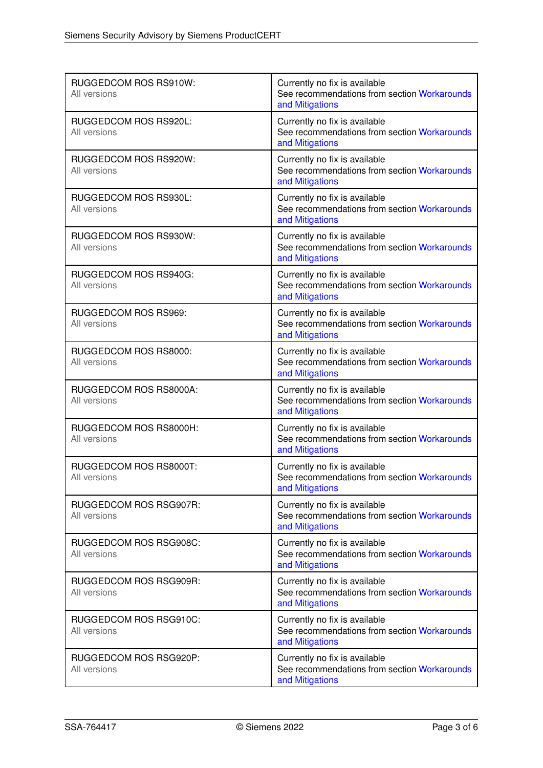| RUGGEDCOM ROS RS910W:<br>All versions  | Currently no fix is available<br>See recommendations from section Workarounds<br>and Mitigations |
|----------------------------------------|--------------------------------------------------------------------------------------------------|
| RUGGEDCOM ROS RS920L:<br>All versions  | Currently no fix is available<br>See recommendations from section Workarounds<br>and Mitigations |
| RUGGEDCOM ROS RS920W:<br>All versions  | Currently no fix is available<br>See recommendations from section Workarounds<br>and Mitigations |
| RUGGEDCOM ROS RS930L:<br>All versions  | Currently no fix is available<br>See recommendations from section Workarounds<br>and Mitigations |
| RUGGEDCOM ROS RS930W:<br>All versions  | Currently no fix is available<br>See recommendations from section Workarounds<br>and Mitigations |
| RUGGEDCOM ROS RS940G:<br>All versions  | Currently no fix is available<br>See recommendations from section Workarounds<br>and Mitigations |
| RUGGEDCOM ROS RS969:<br>All versions   | Currently no fix is available<br>See recommendations from section Workarounds<br>and Mitigations |
| RUGGEDCOM ROS RS8000:<br>All versions  | Currently no fix is available<br>See recommendations from section Workarounds<br>and Mitigations |
| RUGGEDCOM ROS RS8000A:<br>All versions | Currently no fix is available<br>See recommendations from section Workarounds<br>and Mitigations |
| RUGGEDCOM ROS RS8000H:<br>All versions | Currently no fix is available<br>See recommendations from section Workarounds<br>and Mitigations |
| RUGGEDCOM ROS RS8000T:<br>All versions | Currently no fix is available<br>See recommendations from section Workarounds<br>and Mitigations |
| RUGGEDCOM ROS RSG907R:<br>All versions | Currently no fix is available<br>See recommendations from section Workarounds<br>and Mitigations |
| RUGGEDCOM ROS RSG908C:<br>All versions | Currently no fix is available<br>See recommendations from section Workarounds<br>and Mitigations |
| RUGGEDCOM ROS RSG909R:<br>All versions | Currently no fix is available<br>See recommendations from section Workarounds<br>and Mitigations |
| RUGGEDCOM ROS RSG910C:<br>All versions | Currently no fix is available<br>See recommendations from section Workarounds<br>and Mitigations |
| RUGGEDCOM ROS RSG920P:<br>All versions | Currently no fix is available<br>See recommendations from section Workarounds<br>and Mitigations |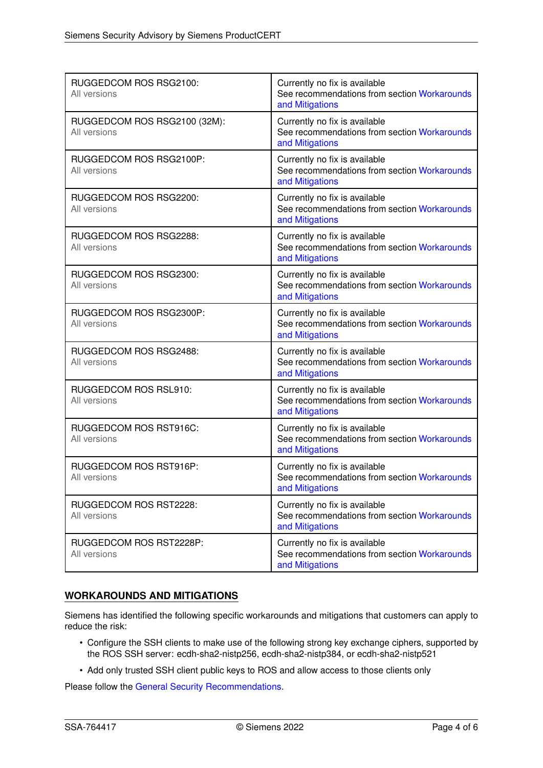| RUGGEDCOM ROS RSG2100:<br>All versions       | Currently no fix is available<br>See recommendations from section Workarounds<br>and Mitigations |
|----------------------------------------------|--------------------------------------------------------------------------------------------------|
| RUGGEDCOM ROS RSG2100 (32M):<br>All versions | Currently no fix is available<br>See recommendations from section Workarounds<br>and Mitigations |
| RUGGEDCOM ROS RSG2100P:<br>All versions      | Currently no fix is available<br>See recommendations from section Workarounds<br>and Mitigations |
| RUGGEDCOM ROS RSG2200:<br>All versions       | Currently no fix is available<br>See recommendations from section Workarounds<br>and Mitigations |
| RUGGEDCOM ROS RSG2288:<br>All versions       | Currently no fix is available<br>See recommendations from section Workarounds<br>and Mitigations |
| RUGGEDCOM ROS RSG2300:<br>All versions       | Currently no fix is available<br>See recommendations from section Workarounds<br>and Mitigations |
| RUGGEDCOM ROS RSG2300P:<br>All versions      | Currently no fix is available<br>See recommendations from section Workarounds<br>and Mitigations |
| RUGGEDCOM ROS RSG2488:<br>All versions       | Currently no fix is available<br>See recommendations from section Workarounds<br>and Mitigations |
| RUGGEDCOM ROS RSL910:<br>All versions        | Currently no fix is available<br>See recommendations from section Workarounds<br>and Mitigations |
| RUGGEDCOM ROS RST916C:<br>All versions       | Currently no fix is available<br>See recommendations from section Workarounds<br>and Mitigations |
| RUGGEDCOM ROS RST916P:<br>All versions       | Currently no fix is available<br>See recommendations from section Workarounds<br>and Mitigations |
| RUGGEDCOM ROS RST2228:<br>All versions       | Currently no fix is available<br>See recommendations from section Workarounds<br>and Mitigations |
| RUGGEDCOM ROS RST2228P:<br>All versions      | Currently no fix is available<br>See recommendations from section Workarounds<br>and Mitigations |

# <span id="page-3-0"></span>**WORKAROUNDS AND MITIGATIONS**

Siemens has identified the following specific workarounds and mitigations that customers can apply to reduce the risk:

- Configure the SSH clients to make use of the following strong key exchange ciphers, supported by the ROS SSH server: ecdh-sha2-nistp256, ecdh-sha2-nistp384, or ecdh-sha2-nistp521
- Add only trusted SSH client public keys to ROS and allow access to those clients only

<span id="page-3-1"></span>Please follow the [General Security Recommendations.](#page-3-1)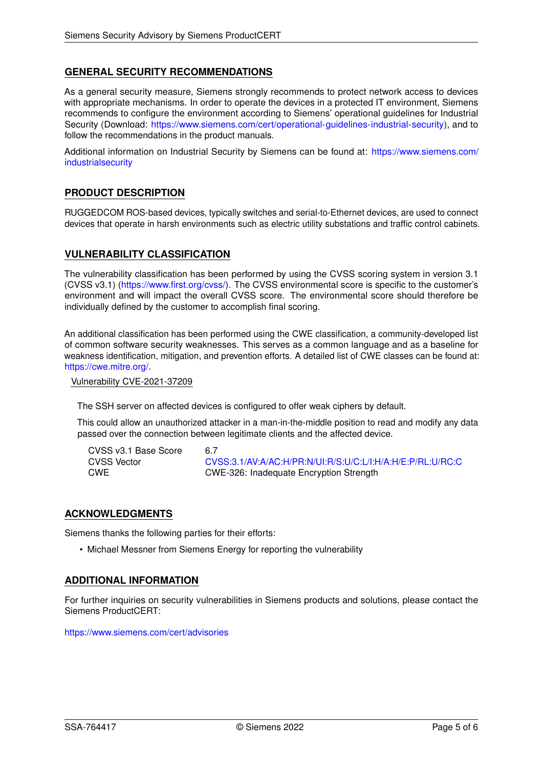# **GENERAL SECURITY RECOMMENDATIONS**

As a general security measure, Siemens strongly recommends to protect network access to devices with appropriate mechanisms. In order to operate the devices in a protected IT environment, Siemens recommends to configure the environment according to Siemens' operational guidelines for Industrial Security (Download: [https://www.siemens.com/cert/operational-guidelines-industrial-security\)](https://www.siemens.com/cert/operational-guidelines-industrial-security), and to follow the recommendations in the product manuals.

Additional information on Industrial Security by Siemens can be found at: [https://www.siemens.com/](https://www.siemens.com/industrialsecurity) [industrialsecurity](https://www.siemens.com/industrialsecurity)

#### **PRODUCT DESCRIPTION**

RUGGEDCOM ROS-based devices, typically switches and serial-to-Ethernet devices, are used to connect devices that operate in harsh environments such as electric utility substations and traffic control cabinets.

#### **VULNERABILITY CLASSIFICATION**

The vulnerability classification has been performed by using the CVSS scoring system in version 3.1 (CVSS v3.1) [\(https://www.first.org/cvss/\)](https://www.first.org/cvss/). The CVSS environmental score is specific to the customer's environment and will impact the overall CVSS score. The environmental score should therefore be individually defined by the customer to accomplish final scoring.

An additional classification has been performed using the CWE classification, a community-developed list of common software security weaknesses. This serves as a common language and as a baseline for weakness identification, mitigation, and prevention efforts. A detailed list of CWE classes can be found at: [https://cwe.mitre.org/.](https://cwe.mitre.org/)

Vulnerability CVE-2021-37209

The SSH server on affected devices is configured to offer weak ciphers by default.

This could allow an unauthorized attacker in a man-in-the-middle position to read and modify any data passed over the connection between legitimate clients and the affected device.

| CVSS v3.1 Base Score | 6.7 |
|----------------------|-----|
| <b>CVSS Vector</b>   | CV  |
| <b>CWE</b>           | C٧  |

[CVSS:3.1/AV:A/AC:H/PR:N/UI:R/S:U/C:L/I:H/A:H/E:P/RL:U/RC:C](https://www.first.org/cvss/calculator/3.1#CVSS:3.1/AV:A/AC:H/PR:N/UI:R/S:U/C:L/I:H/A:H/E:P/RL:U/RC:C) CWE CWE-326: Inadequate Encryption Strength

#### **ACKNOWLEDGMENTS**

Siemens thanks the following parties for their efforts:

• Michael Messner from Siemens Energy for reporting the vulnerability

#### **ADDITIONAL INFORMATION**

For further inquiries on security vulnerabilities in Siemens products and solutions, please contact the Siemens ProductCERT:

<https://www.siemens.com/cert/advisories>